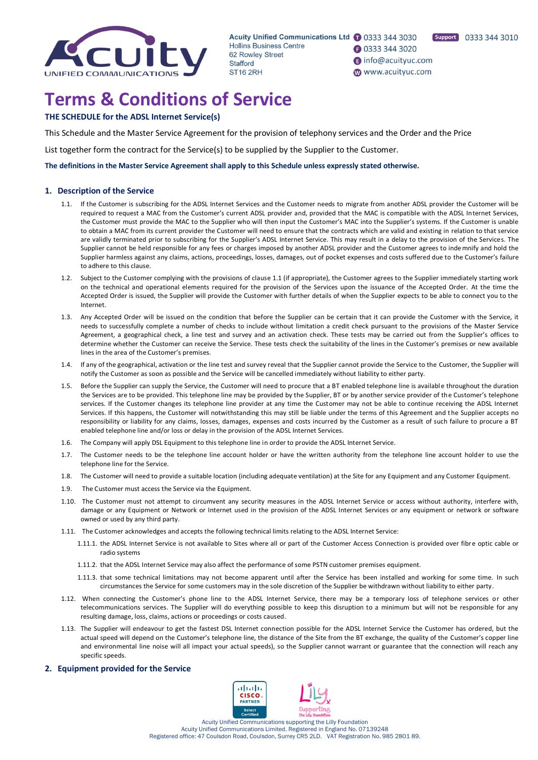

Acuity Unified Communications Ltd 1 0333 344 3030 Hollins Business Centre 62 Rowley Street Stafford **ST16 2RH** 

**1** 0333 344 3020 nfo@acuityuc.com www.acuityuc.com

# **Terms & Conditions of Service**

## **THE SCHEDULE for the ADSL Internet Service(s)**

This Schedule and the Master Service Agreement for the provision of telephony services and the Order and the Price

List together form the contract for the Service(s) to be supplied by the Supplier to the Customer.

**The definitions in the Master Service Agreement shall apply to this Schedule unless expressly stated otherwise.**

## **1. Description of the Service**

- 1.1. If the Customer is subscribing for the ADSL Internet Services and the Customer needs to migrate from another ADSL provider the Customer will be required to request a MAC from the Customer's current ADSL provider and, provided that the MAC is compatible with the ADSL Internet Services, the Customer must provide the MAC to the Supplier who will then input the Customer's MAC into the Supplier's systems. If the Customer is unable to obtain a MAC from its current provider the Customer will need to ensure that the contracts which are valid and existing in relation to that service are validly terminated prior to subscribing for the Supplier's ADSL Internet Service. This may result in a delay to the provision of the Services. The Supplier cannot be held responsible for any fees or charges imposed by another ADSL provider and the Customer agrees to indemnify and hold the Supplier harmless against any claims, actions, proceedings, losses, damages, out of pocket expenses and costs suffered due to the Customer's failure to adhere to this clause.
- 1.2. Subject to the Customer complying with the provisions of clause 1.1 (if appropriate), the Customer agrees to the Supplier immediately starting work on the technical and operational elements required for the provision of the Services upon the issuance of the Accepted Order. At the time the Accepted Order is issued, the Supplier will provide the Customer with further details of when the Supplier expects to be able to connect you to the Internet.
- 1.3. Any Accepted Order will be issued on the condition that before the Supplier can be certain that it can provide the Customer with the Service, it needs to successfully complete a number of checks to include without limitation a credit check pursuant to the provisions of the Master Service Agreement, a geographical check, a line test and survey and an activation check. These tests may be carried out from the Supplier's offices to determine whether the Customer can receive the Service. These tests check the suitability of the lines in the Customer's premises or new available lines in the area of the Customer's premises.
- 1.4. If any of the geographical, activation or the line test and survey reveal that the Supplier cannot provide the Service to the Customer, the Supplier will notify the Customer as soon as possible and the Service will be cancelled immediately without liability to either party.
- 1.5. Before the Supplier can supply the Service, the Customer will need to procure that a BT enabled telephone line is availabl e throughout the duration the Services are to be provided. This telephone line may be provided by the Supplier, BT or by another service provider of the Customer's telephone services. If the Customer changes its telephone line provider at any time the Customer may not be able to continue receiving the ADSL Internet Services. If this happens, the Customer will notwithstanding this may still be liable under the terms of this Agreement and the Supplier accepts no responsibility or liability for any claims, losses, damages, expenses and costs incurred by the Customer as a result of such failure to procure a BT enabled telephone line and/or loss or delay in the provision of the ADSL Internet Services.
- 1.6. The Company will apply DSL Equipment to this telephone line in order to provide the ADSL Internet Service.
- 1.7. The Customer needs to be the telephone line account holder or have the written authority from the telephone line account holder to use the telephone line for the Service.
- 1.8. The Customer will need to provide a suitable location (including adequate ventilation) at the Site for any Equipment and any Customer Equipment.
- 1.9. The Customer must access the Service via the Equipment.
- 1.10. The Customer must not attempt to circumvent any security measures in the ADSL Internet Service or access without authority, interfere with, damage or any Equipment or Network or Internet used in the provision of the ADSL Internet Services or any equipment or network or software owned or used by any third party.
- 1.11. The Customer acknowledges and accepts the following technical limits relating to the ADSL Internet Service:
	- 1.11.1. the ADSL Internet Service is not available to Sites where all or part of the Customer Access Connection is provided over fibre optic cable or radio systems
	- 1.11.2. that the ADSL Internet Service may also affect the performance of some PSTN customer premises equipment.
	- 1.11.3. that some technical limitations may not become apparent until after the Service has been installed and working for some time. In such circumstances the Service for some customers may in the sole discretion of the Supplier be withdrawn without liability to either party.
- 1.12. When connecting the Customer's phone line to the ADSL Internet Service, there may be a temporary loss of telephone services or other telecommunications services. The Supplier will do everything possible to keep this disruption to a minimum but will not be responsible for any resulting damage, loss, claims, actions or proceedings or costs caused.
- 1.13. The Supplier will endeavour to get the fastest DSL Internet connection possible for the ADSL Internet Service the Customer has ordered, but the actual speed will depend on the Customer's telephone line, the distance of the Site from the BT exchange, the quality of the Customer's copper line and environmental line noise will all impact your actual speeds), so the Supplier cannot warrant or guarantee that the connection will reach any specific speeds.

## **2. Equipment provided for the Service**

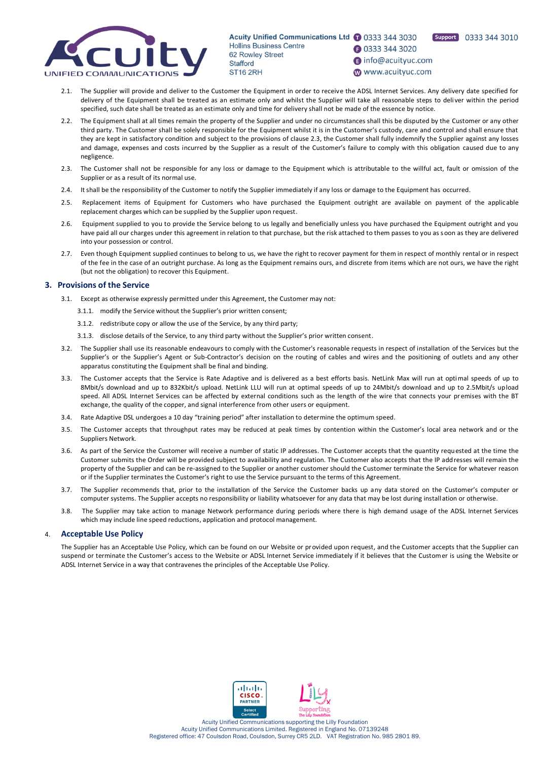

Acuity Unified Communications Ltd 1 0333 344 3030 Hollins Business Centre 62 Rowley Street Stafford ST<sub>16</sub> 2RH

**1** 0333 344 3020 nfo@acuityuc.com

Support 0333 344 3010

www.acuityuc.com

- 2.1. The Supplier will provide and deliver to the Customer the Equipment in order to receive the ADSL Internet Services. Any delivery date specified for delivery of the Equipment shall be treated as an estimate only and whilst the Supplier will take all reasonable steps to deli ver within the period specified, such date shall be treated as an estimate only and time for delivery shall not be made of the essence by notice.
- 2.2. The Equipment shall at all times remain the property of the Supplier and under no circumstances shall this be disputed by the Customer or any other third party. The Customer shall be solely responsible for the Equipment whilst it is in the Customer's custody, care and control and shall ensure that they are kept in satisfactory condition and subject to the provisions of clause 2.3, the Customer shall fully indemnify the Supplier against any losses and damage, expenses and costs incurred by the Supplier as a result of the Customer's failure to comply with this obligation caused due to any negligence.
- 2.3. The Customer shall not be responsible for any loss or damage to the Equipment which is attributable to the willful act, fault or omission of the Supplier or as a result of its normal use.
- 2.4. It shall be the responsibility of the Customer to notify the Supplier immediately if any loss or damage to the Equipment has occurred.
- 2.5. Replacement items of Equipment for Customers who have purchased the Equipment outright are available on payment of the applicable replacement charges which can be supplied by the Supplier upon request.
- 2.6. Equipment supplied to you to provide the Service belong to us legally and beneficially unless you have purchased the Equipment outright and you have paid all our charges under this agreement in relation to that purchase, but the risk attached to them passes to you as soon as they are delivered into your possession or control.
- 2.7. Even though Equipment supplied continues to belong to us, we have the right to recover payment for them in respect of monthly rental or in respect of the fee in the case of an outright purchase. As long as the Equipment remains ours, and discrete from items which are not ours, we have the right (but not the obligation) to recover this Equipment.

#### **3. Provisions of the Service**

- 3.1. Except as otherwise expressly permitted under this Agreement, the Customer may not:
	- 3.1.1. modify the Service without the Supplier's prior written consent;
	- 3.1.2. redistribute copy or allow the use of the Service, by any third party;
	- 3.1.3. disclose details of the Service, to any third party without the Supplier's prior written consent.
- 3.2. The Supplier shall use its reasonable endeavours to comply with the Customer's reasonable requests in respect of installation of the Services but the Supplier's or the Supplier's Agent or Sub-Contractor's decision on the routing of cables and wires and the positioning of outlets and any other apparatus constituting the Equipment shall be final and binding.
- 3.3. The Customer accepts that the Service is Rate Adaptive and is delivered as a best efforts basis. NetLink Max will run at optimal speeds of up to 8Mbit/s download and up to 832Kbit/s upload. NetLink LLU will run at optimal speeds of up to 24Mbit/s download and up to 2.5Mbit/s upload speed. All ADSL Internet Services can be affected by external conditions such as the length of the wire that connects your premises with the BT exchange, the quality of the copper, and signal interference from other users or equipment.
- 3.4. Rate Adaptive DSL undergoes a 10 day "training period" after installation to determine the optimum speed.
- 3.5. The Customer accepts that throughput rates may be reduced at peak times by contention within the Customer's local area network and or the Suppliers Network.
- 3.6. As part of the Service the Customer will receive a number of static IP addresses. The Customer accepts that the quantity requested at the time the Customer submits the Order will be provided subject to availability and regulation. The Customer also accepts that the IP addresses will remain the property of the Supplier and can be re-assigned to the Supplier or another customer should the Customer terminate the Service for whatever reason or if the Supplier terminates the Customer's right to use the Service pursuant to the terms of this Agreement.
- 3.7. The Supplier recommends that, prior to the installation of the Service the Customer backs up any data stored on the Customer's computer or computer systems. The Supplier accepts no responsibility or liability whatsoever for any data that may be lost during installation or otherwise.
- 3.8. The Supplier may take action to manage Network performance during periods where there is high demand usage of the ADSL Internet Services which may include line speed reductions, application and protocol management.

#### 4. **Acceptable Use Policy**

The Supplier has an Acceptable Use Policy, which can be found on our Website or provided upon request, and the Customer accepts that the Supplier can suspend or terminate the Customer's access to the Website or ADSL Internet Service immediately if it believes that the Customer is using the Website or ADSL Internet Service in a way that contravenes the principles of the Acceptable Use Policy.



Acuity Unified Communications supporting the Lilly Foundation Acuity Unified Communications Limited. Registered in England No. 07139248 Registered office: 47 Coulsdon Road, Coulsdon, Surrey CR5 2LD. VAT Registration No. 985 2801 89.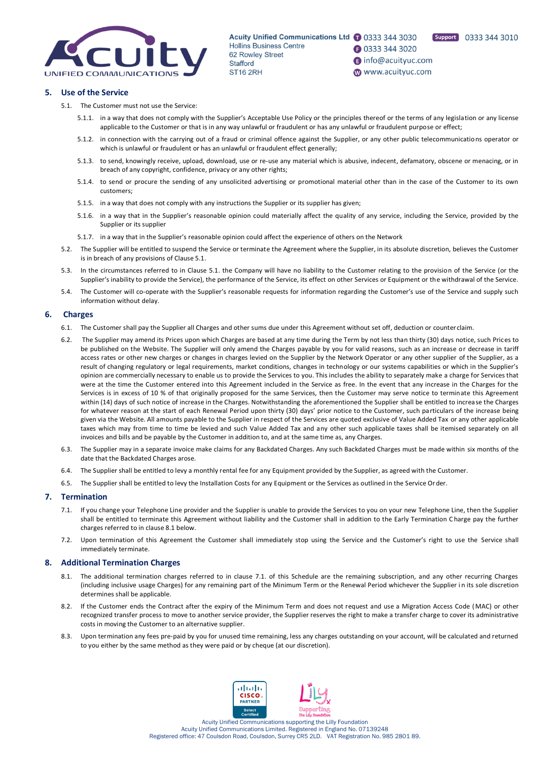

Acuity Unified Communications Ltd 1 0333 344 3030 Hollins Business Centre 62 Rowley Street Stafford ST<sub>16</sub> 2RH

Support 0333 344 3010

- **1** 0333 344 3020 nfo@acuityuc.com
- www.acuityuc.com

## **5. Use of the Service**

- 5.1. The Customer must not use the Service:
	- 5.1.1. in a way that does not comply with the Supplier's Acceptable Use Policy or the principles thereof or the terms of any legislation or any license applicable to the Customer or that is in any way unlawful or fraudulent or has any unlawful or fraudulent purpose or effect;
	- 5.1.2. in connection with the carrying out of a fraud or criminal offence against the Supplier, or any other public telecommunications operator or which is unlawful or fraudulent or has an unlawful or fraudulent effect generally;
	- 5.1.3. to send, knowingly receive, upload, download, use or re-use any material which is abusive, indecent, defamatory, obscene or menacing, or in breach of any copyright, confidence, privacy or any other rights;
	- 5.1.4. to send or procure the sending of any unsolicited advertising or promotional material other than in the case of the Customer to its own customers;
	- 5.1.5. in a way that does not comply with any instructions the Supplier or its supplier has given;
	- 5.1.6. in a way that in the Supplier's reasonable opinion could materially affect the quality of any service, including the Service, provided by the Supplier or its supplier
	- 5.1.7. in a way that in the Supplier's reasonable opinion could affect the experience of others on the Network
- 5.2. The Supplier will be entitled to suspend the Service or terminate the Agreement where the Supplier, in its absolute discretion, believes the Customer is in breach of any provisions of Clause 5.1.
- 5.3. In the circumstances referred to in Clause 5.1. the Company will have no liability to the Customer relating to the provision of the Service (or the Supplier's inability to provide the Service), the performance of the Service, its effect on other Services or Equipment or the withdrawal of the Service.
- 5.4. The Customer will co-operate with the Supplier's reasonable requests for information regarding the Customer's use of the Service and supply such information without delay.

### **6. Charges**

- 6.1. The Customer shall pay the Supplier all Charges and other sums due under this Agreement without set off, deduction or counterclaim.
- 6.2. The Supplier may amend its Prices upon which Charges are based at any time during the Term by not less than thirty (30) days notice, such Prices to be published on the Website. The Supplier will only amend the Charges payable by you for valid reasons, such as an increase or decrease in tariff access rates or other new charges or changes in charges levied on the Supplier by the Network Operator or any other supplier of the Supplier, as a result of changing regulatory or legal requirements, market conditions, changes in technology or our systems capabilities or which in the Supplier's opinion are commercially necessary to enable us to provide the Services to you. This includes the ability to separately make a charge for Services that were at the time the Customer entered into this Agreement included in the Service as free. In the event that any increase in the Charges for the Services is in excess of 10 % of that originally proposed for the same Services, then the Customer may serve notice to terminate this Agreement within (14) days of such notice of increase in the Charges. Notwithstanding the aforementioned the Supplier shall be entitled to increase the Charges for whatever reason at the start of each Renewal Period upon thirty (30) days' prior notice to the Customer, such particulars of the increase being given via the Website. All amounts payable to the Supplier in respect of the Services are quoted exclusive of Value Added Tax or any other applicable taxes which may from time to time be levied and such Value Added Tax and any other such applicable taxes shall be itemised separately on all invoices and bills and be payable by the Customer in addition to, and at the same time as, any Charges.
- 6.3. The Supplier may in a separate invoice make claims for any Backdated Charges. Any such Backdated Charges must be made within six months of the date that the Backdated Charges arose.
- 6.4. The Supplier shall be entitled to levy a monthly rental fee for any Equipment provided by the Supplier, as agreed with the Customer.
- 6.5. The Supplier shall be entitled to levy the Installation Costs for any Equipment or the Services as outlined in the Service Order.

#### **7. Termination**

- 7.1. If you change your Telephone Line provider and the Supplier is unable to provide the Services to you on your new Telephone Line, then the Supplier shall be entitled to terminate this Agreement without liability and the Customer shall in addition to the Early Termination C harge pay the further charges referred to in clause 8.1 below.
- 7.2. Upon termination of this Agreement the Customer shall immediately stop using the Service and the Customer's right to use the Service shall immediately terminate.

#### **8. Additional Termination Charges**

- 8.1. The additional termination charges referred to in clause 7.1. of this Schedule are the remaining subscription, and any other recurring Charges (including inclusive usage Charges) for any remaining part of the Minimum Term or the Renewal Period whichever the Supplier i n its sole discretion determines shall be applicable.
- 8.2. If the Customer ends the Contract after the expiry of the Minimum Term and does not request and use a Migration Access Code (MAC) or other recognized transfer process to move to another service provider, the Supplier reserves the right to make a transfer charge to cover its administrative costs in moving the Customer to an alternative supplier.
- 8.3. Upon termination any fees pre-paid by you for unused time remaining, less any charges outstanding on your account, will be calculated and returned to you either by the same method as they were paid or by cheque (at our discretion).

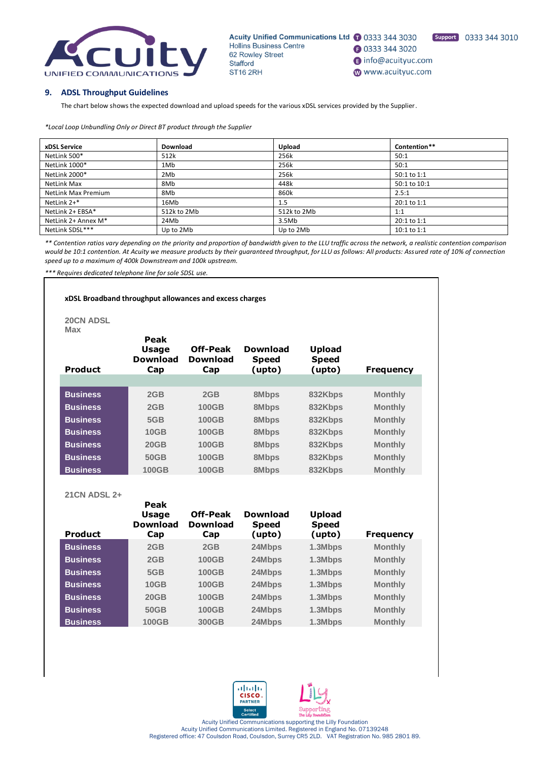

Acuity Unified Communications Ltd 1 0333 344 3030 Hollins Business Centre **3** 0333 344 3020 62 Rowley Street nfo@acuityuc.com Stafford **ST16 2RH** www.acuityuc.com

Support 0333 344 3010

## **9. ADSL Throughput Guidelines**

The chart below shows the expected download and upload speeds for the various xDSL services provided by the Supplier.

*\*Local Loop Unbundling Only or Direct BT product through the Supplier*

| xDSL Service               | Download    | Upload      | Contention** |
|----------------------------|-------------|-------------|--------------|
| NetLink 500*               | 512k        | 256k        | 50:1         |
| NetLink 1000*              | 1Mb         | 256k        | 50:1         |
| NetLink 2000*              | 2Mb         | 256k        | 50:1 to 1:1  |
| NetLink Max                | 8Mb         | 448k        | 50:1 to 10:1 |
| <b>NetLink Max Premium</b> | 8Mb         | 860k        | 2.5:1        |
| NetLink 2+*                | 16Mb        | 1.5         | 20:1 to 1:1  |
| NetLink 2+ EBSA*           | 512k to 2Mb | 512k to 2Mb | 1:1          |
| NetLink 2+ Annex M*        | 24Mb        | 3.5Mb       | 20:1 to 1:1  |
| NetLink SDSL***            | Up to 2Mb   | Up to 2Mb   | 10:1 to 1:1  |

*\*\* Contention ratios vary depending on the priority and proportion of bandwidth given to the LLU traffic across the network, a realistic contention comparison would be 10:1 contention. At Acuity we measure products by their guaranteed throughput, for LLU as follows: All products: Assured rate of 10% of connection speed up to a maximum of 400k Downstream and 100k upstream.*

*\*\*\* Requires dedicated telephone line for sole SDSL use.*

### **xDSL Broadband throughput allowances and excess charges**

**Peak** 

**20CN ADSL Max**

| max<br><b>Product</b> | Peak<br><b>Usage</b><br>Download<br>Cap | <b>Off-Peak</b><br><b>Download</b><br>Cap | <b>Download</b><br><b>Speed</b><br>(upto) | <b>Upload</b><br><b>Speed</b><br>(upto) | <b>Frequency</b> |
|-----------------------|-----------------------------------------|-------------------------------------------|-------------------------------------------|-----------------------------------------|------------------|
|                       |                                         |                                           |                                           |                                         |                  |
| <b>Business</b>       | 2GB                                     | 2GB                                       | 8Mbps                                     | 832Kbps                                 | <b>Monthly</b>   |
| <b>Business</b>       | 2GB                                     | <b>100GB</b>                              | 8Mbps                                     | 832Kbps                                 | <b>Monthly</b>   |
| <b>Business</b>       | 5GB                                     | <b>100GB</b>                              | 8Mbps                                     | 832Kbps                                 | <b>Monthly</b>   |
| <b>Business</b>       | 10GB                                    | <b>100GB</b>                              | 8Mbps                                     | 832Kbps                                 | <b>Monthly</b>   |
| <b>Business</b>       | 20GB                                    | <b>100GB</b>                              | 8Mbps                                     | 832Kbps                                 | <b>Monthly</b>   |
| <b>Business</b>       | 50GB                                    | <b>100GB</b>                              | 8Mbps                                     | 832Kbps                                 | <b>Monthly</b>   |
| <b>Business</b>       | <b>100GB</b>                            | <b>100GB</b>                              | 8Mbps                                     | 832Kbps                                 | <b>Monthly</b>   |

**21CN ADSL 2+**

| <b>Product</b>  | неак<br><b>Usage</b><br><b>Download</b><br>Cap | <b>Off-Peak</b><br><b>Download</b><br>Cap | <b>Download</b><br><b>Speed</b><br>(upto) | <b>Upload</b><br><b>Speed</b><br>(upto) | <b>Frequency</b> |
|-----------------|------------------------------------------------|-------------------------------------------|-------------------------------------------|-----------------------------------------|------------------|
| <b>Business</b> | 2GB                                            | 2GB                                       | 24Mbps                                    | 1.3Mbps                                 | <b>Monthly</b>   |
| <b>Business</b> | 2GB                                            | <b>100GB</b>                              | 24Mbps                                    | 1.3Mbps                                 | <b>Monthly</b>   |
| <b>Business</b> | 5GB                                            | <b>100GB</b>                              | 24Mbps                                    | 1.3Mbps                                 | <b>Monthly</b>   |
| <b>Business</b> | <b>10GB</b>                                    | <b>100GB</b>                              | 24Mbps                                    | 1.3Mbps                                 | <b>Monthly</b>   |
| <b>Business</b> | 20GB                                           | <b>100GB</b>                              | 24Mbps                                    | 1.3Mbps                                 | <b>Monthly</b>   |
| <b>Business</b> | <b>50GB</b>                                    | <b>100GB</b>                              | 24Mbps                                    | 1.3Mbps                                 | <b>Monthly</b>   |
| <b>Business</b> | <b>100GB</b>                                   | 300GB                                     | 24Mbps                                    | 1.3Mbps                                 | <b>Monthly</b>   |